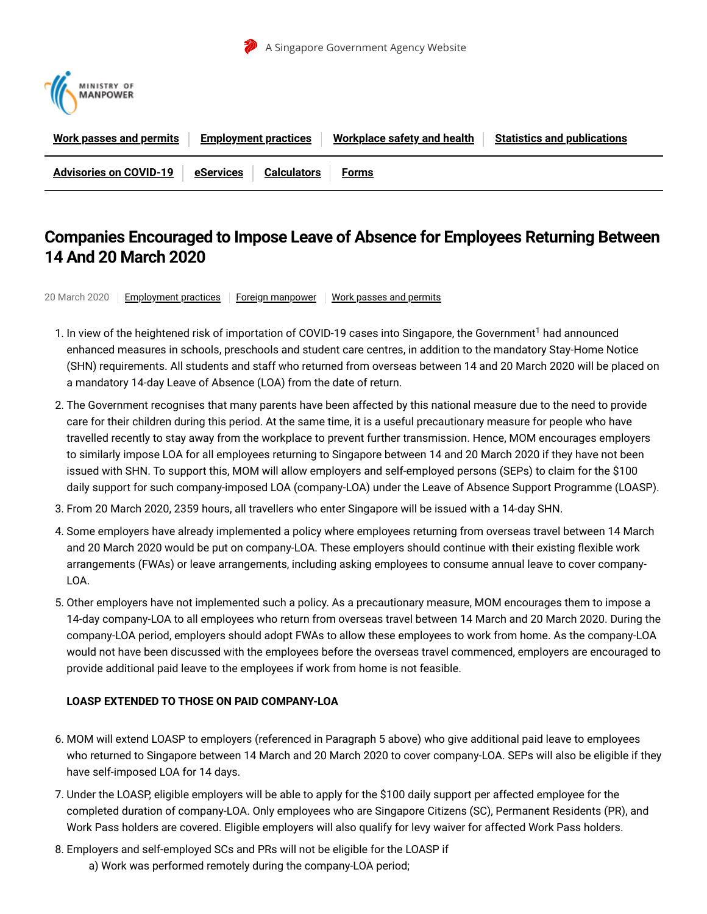

## **Companies Encouraged to Impose Leave of Absence for Employees Returning Between 14 And 20 March 2020**

20 March 2020 | [Employment](https://www.mom.gov.sg/newsroom/press-releases?category=Employment+practices) practices | Foreign [manpower](https://www.mom.gov.sg/newsroom/press-releases?category=Foreign+manpower) | Work passes and [permits](https://www.mom.gov.sg/newsroom/press-releases?category=Work+passes+and+permits)

- 1. In view of the heightened risk of importation of COVID-19 cases into Singapore, the Government<sup>1</sup> had announced enhanced measures in schools, preschools and student care centres, in addition to the mandatory Stay-Home Notice (SHN) requirements. All students and staff who returned from overseas between 14 and 20 March 2020 will be placed on a mandatory 14-day Leave of Absence (LOA) from the date of return.
- 2. The Government recognises that many parents have been affected by this national measure due to the need to provide care for their children during this period. At the same time, it is a useful precautionary measure for people who have travelled recently to stay away from the workplace to prevent further transmission. Hence, MOM encourages employers to similarly impose LOA for all employees returning to Singapore between 14 and 20 March 2020 if they have not been issued with SHN. To support this, MOM will allow employers and self-employed persons (SEPs) to claim for the \$100 daily support for such company-imposed LOA (company-LOA) under the Leave of Absence Support Programme (LOASP).
- 3. From 20 March 2020, 2359 hours, all travellers who enter Singapore will be issued with a 14-day SHN.
- 4. Some employers have already implemented a policy where employees returning from overseas travel between 14 March and 20 March 2020 would be put on company-LOA. These employers should continue with their existing flexible work arrangements (FWAs) or leave arrangements, including asking employees to consume annual leave to cover company-LOA.
- 5. Other employers have not implemented such a policy. As a precautionary measure, MOM encourages them to impose a 14-day company-LOA to all employees who return from overseas travel between 14 March and 20 March 2020. During the company-LOA period, employers should adopt FWAs to allow these employees to work from home. As the company-LOA would not have been discussed with the employees before the overseas travel commenced, employers are encouraged to provide additional paid leave to the employees if work from home is not feasible.

## **LOASP EXTENDED TO THOSE ON PAID COMPANY-LOA**

- 6. MOM will extend LOASP to employers (referenced in Paragraph 5 above) who give additional paid leave to employees who returned to Singapore between 14 March and 20 March 2020 to cover company-LOA. SEPs will also be eligible if they have self-imposed LOA for 14 days.
- 7. Under the LOASP, eligible employers will be able to apply for the \$100 daily support per affected employee for the completed duration of company-LOA. Only employees who are Singapore Citizens (SC), Permanent Residents (PR), and Work Pass holders are covered. Eligible employers will also qualify for levy waiver for affected Work Pass holders.
- 8. Employers and self-employed SCs and PRs will not be eligible for the LOASP if a) Work was performed remotely during the company-LOA period;